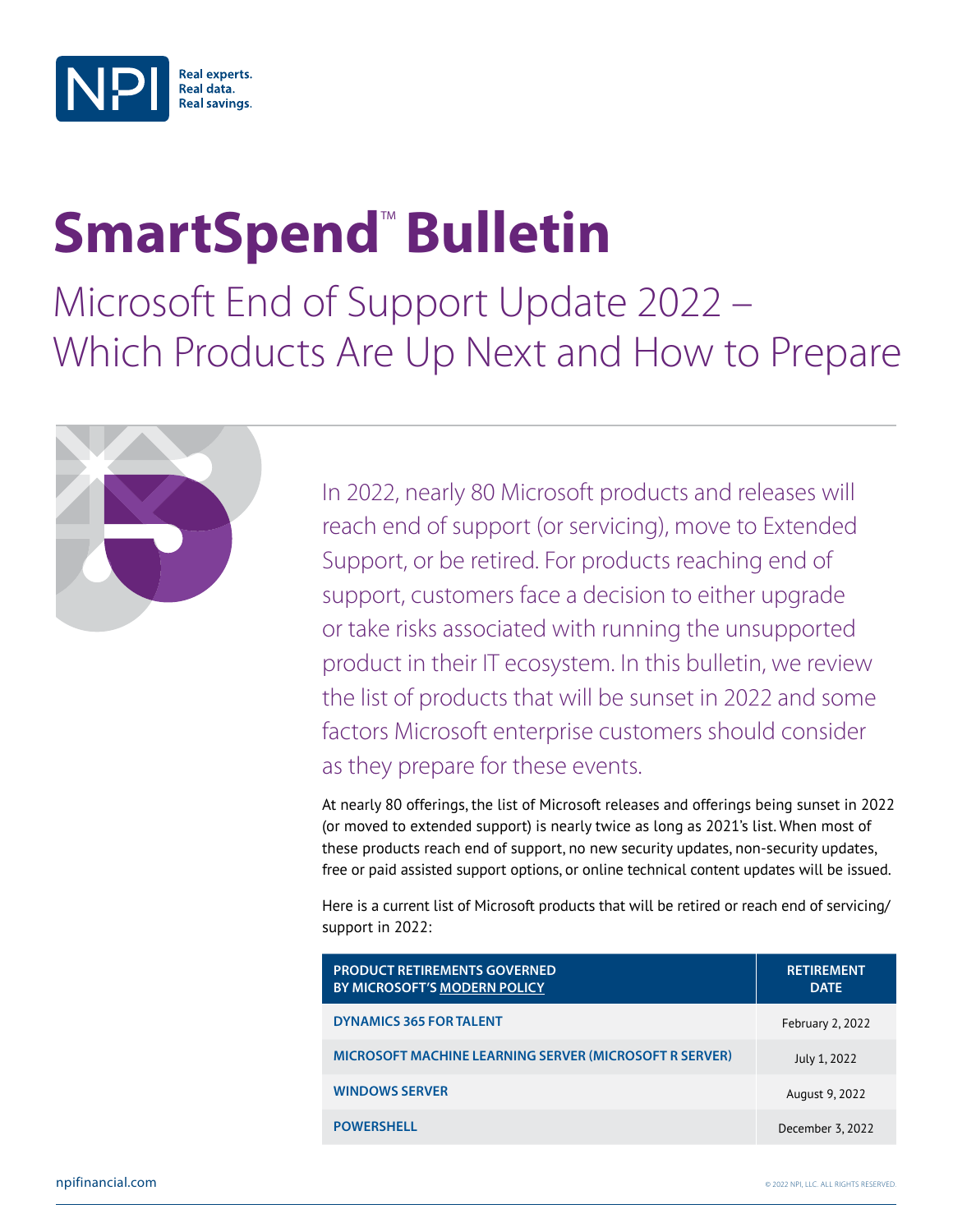

## **SmartSpend™Bulletin**

Microsoft End of Support Update 2022 – Which Products Are Up Next and How to Prepare



In 2022, nearly 80 Microsoft products and releases will reach end of support (or servicing), move to Extended Support, or be retired. For products reaching end of support, customers face a decision to either upgrade or take risks associated with running the unsupported product in their IT ecosystem. In this bulletin, we review the list of products that will be sunset in 2022 and some factors Microsoft enterprise customers should consider as they prepare for these events.

At nearly 80 offerings, the list of Microsoft releases and offerings being sunset in 2022 (or moved to extended support) is nearly twice as long as 2021's list. When most of these products reach end of support, no new security updates, non-security updates, free or paid assisted support options, or online technical content updates will be issued.

Here is a current list of Microsoft products that will be retired or reach end of servicing/ support in 2022:

| <b>PRODUCT RETIREMENTS GOVERNED</b><br>BY MICROSOFT'S MODERN POLICY | <b>RETIREMENT</b><br><b>DATE</b> |
|---------------------------------------------------------------------|----------------------------------|
| <b>DYNAMICS 365 FOR TALENT</b>                                      | February 2, 2022                 |
| <b>MICROSOFT MACHINE LEARNING SERVER (MICROSOFT R SERVER)</b>       | July 1, 2022                     |
| <b>WINDOWS SERVER</b>                                               | August 9, 2022                   |
| <b>POWERSHELL</b>                                                   | December 3, 2022                 |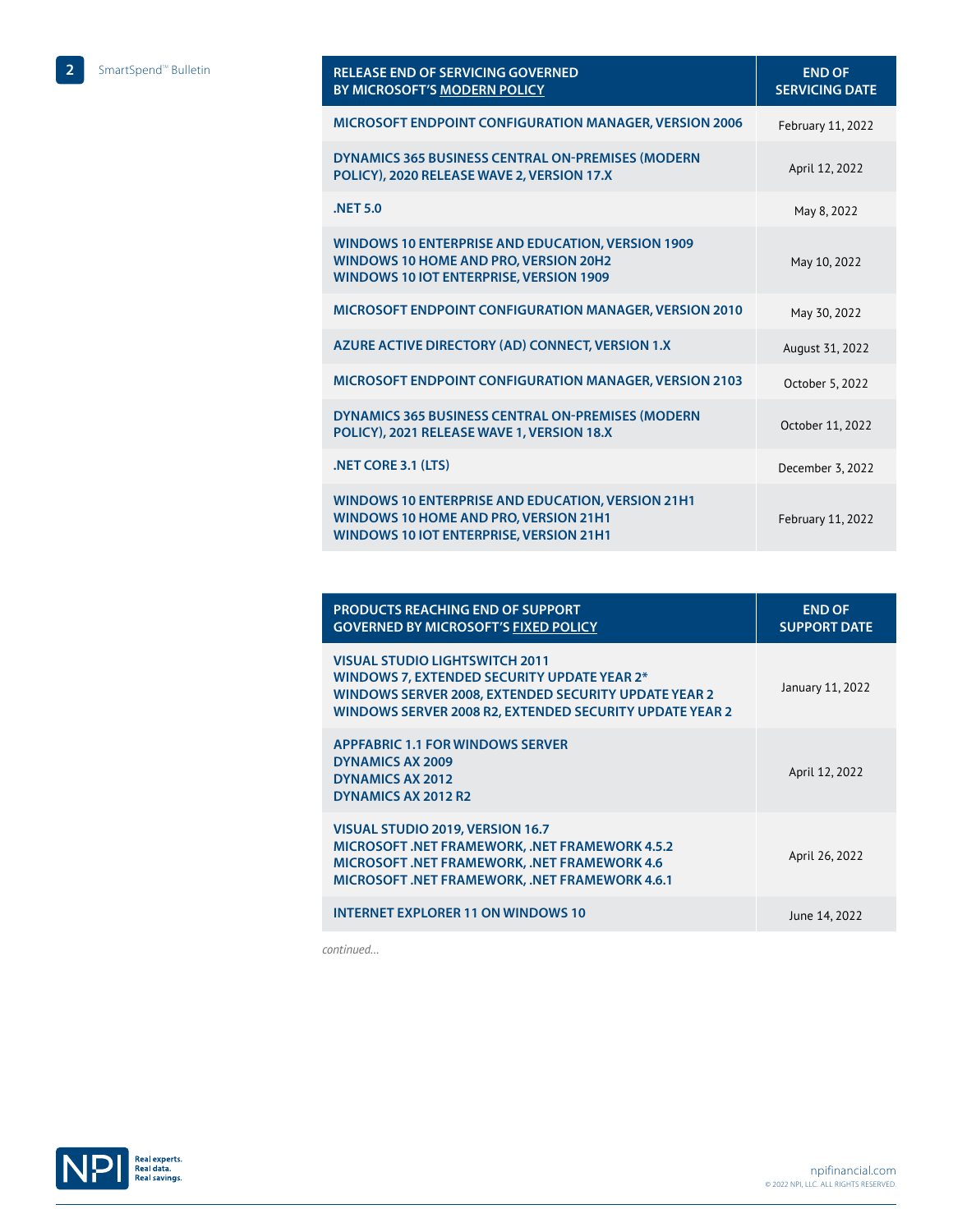| <b>RELEASE END OF SERVICING GOVERNED</b><br><b>BY MICROSOFT'S MODERN POLICY</b>                                                                     | <b>END OF</b><br><b>SERVICING DATE</b> |
|-----------------------------------------------------------------------------------------------------------------------------------------------------|----------------------------------------|
| <b>MICROSOFT ENDPOINT CONFIGURATION MANAGER, VERSION 2006</b>                                                                                       | February 11, 2022                      |
| DYNAMICS 365 BUSINESS CENTRAL ON-PREMISES (MODERN<br>POLICY), 2020 RELEASE WAVE 2, VERSION 17.X                                                     | April 12, 2022                         |
| <b>NET 5.0</b>                                                                                                                                      | May 8, 2022                            |
| WINDOWS 10 ENTERPRISE AND EDUCATION, VERSION 1909<br>WINDOWS 10 HOME AND PRO, VERSION 20H2<br><b>WINDOWS 10 IOT ENTERPRISE, VERSION 1909</b>        | May 10, 2022                           |
| MICROSOFT ENDPOINT CONFIGURATION MANAGER, VERSION 2010                                                                                              | May 30, 2022                           |
| AZURE ACTIVE DIRECTORY (AD) CONNECT, VERSION 1.X                                                                                                    | August 31, 2022                        |
| MICROSOFT ENDPOINT CONFIGURATION MANAGER, VERSION 2103                                                                                              | October 5, 2022                        |
| DYNAMICS 365 BUSINESS CENTRAL ON-PREMISES (MODERN<br>POLICY), 2021 RELEASE WAVE 1, VERSION 18.X                                                     | October 11, 2022                       |
| .NET CORE 3.1 (LTS)                                                                                                                                 | December 3, 2022                       |
| <b>WINDOWS 10 ENTERPRISE AND EDUCATION, VERSION 21H1</b><br>WINDOWS 10 HOME AND PRO, VERSION 21H1<br><b>WINDOWS 10 IOT ENTERPRISE, VERSION 21H1</b> | February 11, 2022                      |

| <b>PRODUCTS REACHING END OF SUPPORT</b><br><b>GOVERNED BY MICROSOFT'S FIXED POLICY</b>                                                                                                                         | <b>END OF</b><br><b>SUPPORT DATE</b> |
|----------------------------------------------------------------------------------------------------------------------------------------------------------------------------------------------------------------|--------------------------------------|
| <b>VISUAL STUDIO LIGHTSWITCH 2011</b><br><b>WINDOWS 7, EXTENDED SECURITY UPDATE YEAR 2*</b><br>WINDOWS SERVER 2008, EXTENDED SECURITY UPDATE YEAR 2<br>WINDOWS SERVER 2008 R2, EXTENDED SECURITY UPDATE YEAR 2 | January 11, 2022                     |
| <b>APPFABRIC 1.1 FOR WINDOWS SERVER</b><br><b>DYNAMICS AX 2009</b><br><b>DYNAMICS AX 2012</b><br>DYNAMICS AX 2012 R2                                                                                           | April 12, 2022                       |
| VISUAL STUDIO 2019, VERSION 16.7<br>MICROSOFT .NET FRAMEWORK, .NET FRAMEWORK 4.5.2<br><b>MICROSOFT .NET FRAMEWORK, .NET FRAMEWORK 4.6</b><br><b>MICROSOFT .NET FRAMEWORK, .NET FRAMEWORK 4.6.1</b>             | April 26, 2022                       |
| <b>INTERNET EXPLORER 11 ON WINDOWS 10</b>                                                                                                                                                                      | June 14, 2022                        |

*continued…*

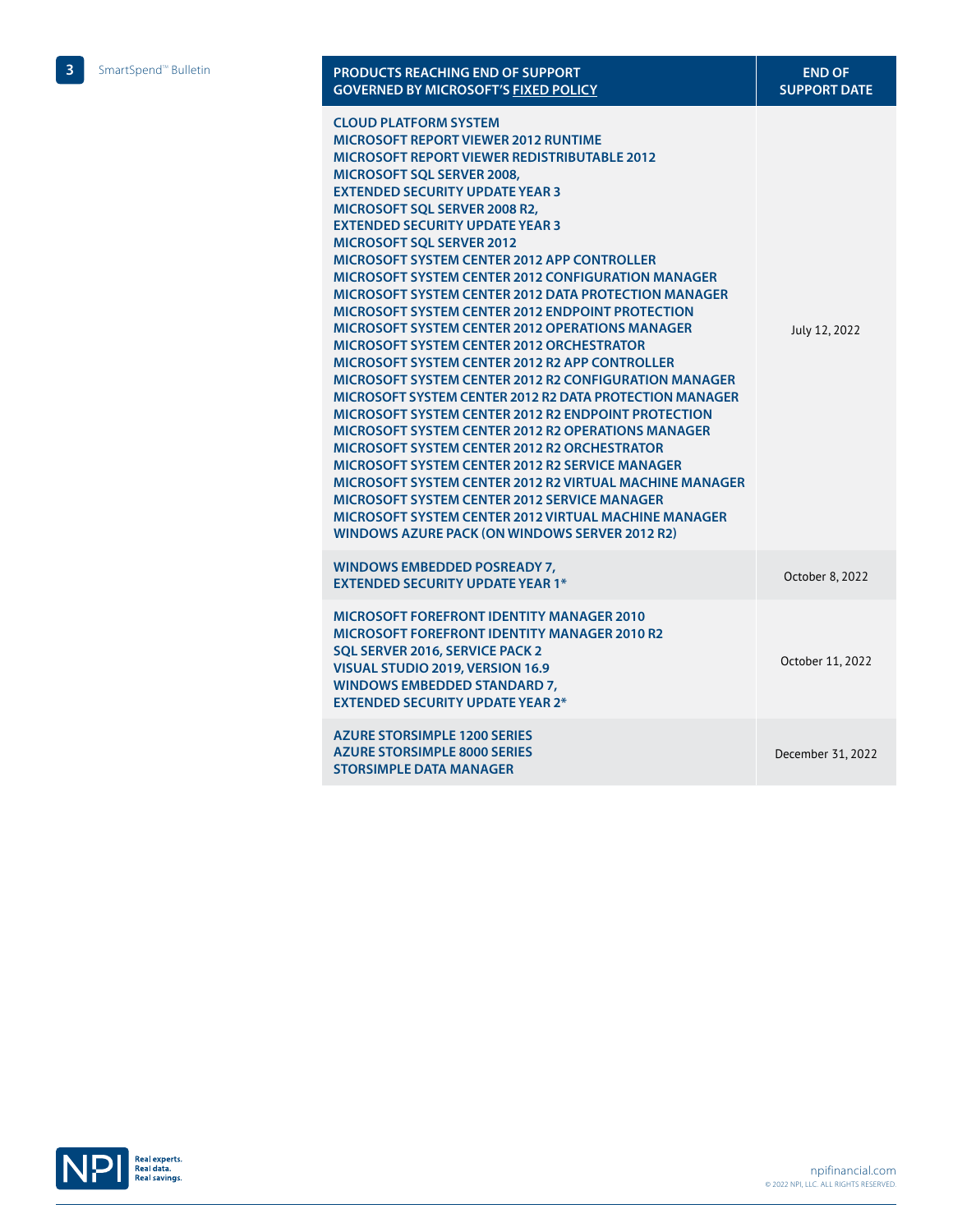| <b>PRODUCTS REACHING END OF SUPPORT</b><br><b>GOVERNED BY MICROSOFT'S FIXED POLICY</b>                                                                                                                                                                                                                                                                                                                                                                                                                                                                                                                                                                                                                                                                                                                                                                                                                                                                                                                                                                                                                                                                                                                                                                                                                                                                  | <b>END OF</b><br><b>SUPPORT DATE</b> |
|---------------------------------------------------------------------------------------------------------------------------------------------------------------------------------------------------------------------------------------------------------------------------------------------------------------------------------------------------------------------------------------------------------------------------------------------------------------------------------------------------------------------------------------------------------------------------------------------------------------------------------------------------------------------------------------------------------------------------------------------------------------------------------------------------------------------------------------------------------------------------------------------------------------------------------------------------------------------------------------------------------------------------------------------------------------------------------------------------------------------------------------------------------------------------------------------------------------------------------------------------------------------------------------------------------------------------------------------------------|--------------------------------------|
| <b>CLOUD PLATFORM SYSTEM</b><br>MICROSOFT REPORT VIEWER 2012 RUNTIME<br><b>MICROSOFT REPORT VIEWER REDISTRIBUTABLE 2012</b><br>MICROSOFT SQL SERVER 2008,<br><b>EXTENDED SECURITY UPDATE YEAR 3</b><br><b>MICROSOFT SOL SERVER 2008 R2.</b><br><b>EXTENDED SECURITY UPDATE YEAR 3</b><br><b>MICROSOFT SOL SERVER 2012</b><br><b>MICROSOFT SYSTEM CENTER 2012 APP CONTROLLER</b><br><b>MICROSOFT SYSTEM CENTER 2012 CONFIGURATION MANAGER</b><br><b>MICROSOFT SYSTEM CENTER 2012 DATA PROTECTION MANAGER</b><br><b>MICROSOFT SYSTEM CENTER 2012 ENDPOINT PROTECTION</b><br><b>MICROSOFT SYSTEM CENTER 2012 OPERATIONS MANAGER</b><br><b>MICROSOFT SYSTEM CENTER 2012 ORCHESTRATOR</b><br>MICROSOFT SYSTEM CENTER 2012 R2 APP CONTROLLER<br><b>MICROSOFT SYSTEM CENTER 2012 R2 CONFIGURATION MANAGER</b><br>MICROSOFT SYSTEM CENTER 2012 R2 DATA PROTECTION MANAGER<br><b>MICROSOFT SYSTEM CENTER 2012 R2 ENDPOINT PROTECTION</b><br><b>MICROSOFT SYSTEM CENTER 2012 R2 OPERATIONS MANAGER</b><br><b>MICROSOFT SYSTEM CENTER 2012 R2 ORCHESTRATOR</b><br><b>MICROSOFT SYSTEM CENTER 2012 R2 SERVICE MANAGER</b><br>MICROSOFT SYSTEM CENTER 2012 R2 VIRTUAL MACHINE MANAGER<br><b>MICROSOFT SYSTEM CENTER 2012 SERVICE MANAGER</b><br><b>MICROSOFT SYSTEM CENTER 2012 VIRTUAL MACHINE MANAGER</b><br><b>WINDOWS AZURE PACK (ON WINDOWS SERVER 2012 R2)</b> | July 12, 2022                        |
| WINDOWS EMBEDDED POSREADY 7,<br><b>EXTENDED SECURITY UPDATE YEAR 1*</b>                                                                                                                                                                                                                                                                                                                                                                                                                                                                                                                                                                                                                                                                                                                                                                                                                                                                                                                                                                                                                                                                                                                                                                                                                                                                                 | October 8, 2022                      |
| <b>MICROSOFT FOREFRONT IDENTITY MANAGER 2010</b><br><b>MICROSOFT FOREFRONT IDENTITY MANAGER 2010 R2</b><br>SOL SERVER 2016, SERVICE PACK 2<br>VISUAL STUDIO 2019, VERSION 16.9<br><b>WINDOWS EMBEDDED STANDARD 7.</b><br><b>EXTENDED SECURITY UPDATE YEAR 2*</b>                                                                                                                                                                                                                                                                                                                                                                                                                                                                                                                                                                                                                                                                                                                                                                                                                                                                                                                                                                                                                                                                                        | October 11, 2022                     |
| <b>AZURE STORSIMPLE 1200 SERIES</b><br><b>AZURE STORSIMPLE 8000 SERIES</b><br><b>STORSIMPLE DATA MANAGER</b>                                                                                                                                                                                                                                                                                                                                                                                                                                                                                                                                                                                                                                                                                                                                                                                                                                                                                                                                                                                                                                                                                                                                                                                                                                            | December 31, 2022                    |

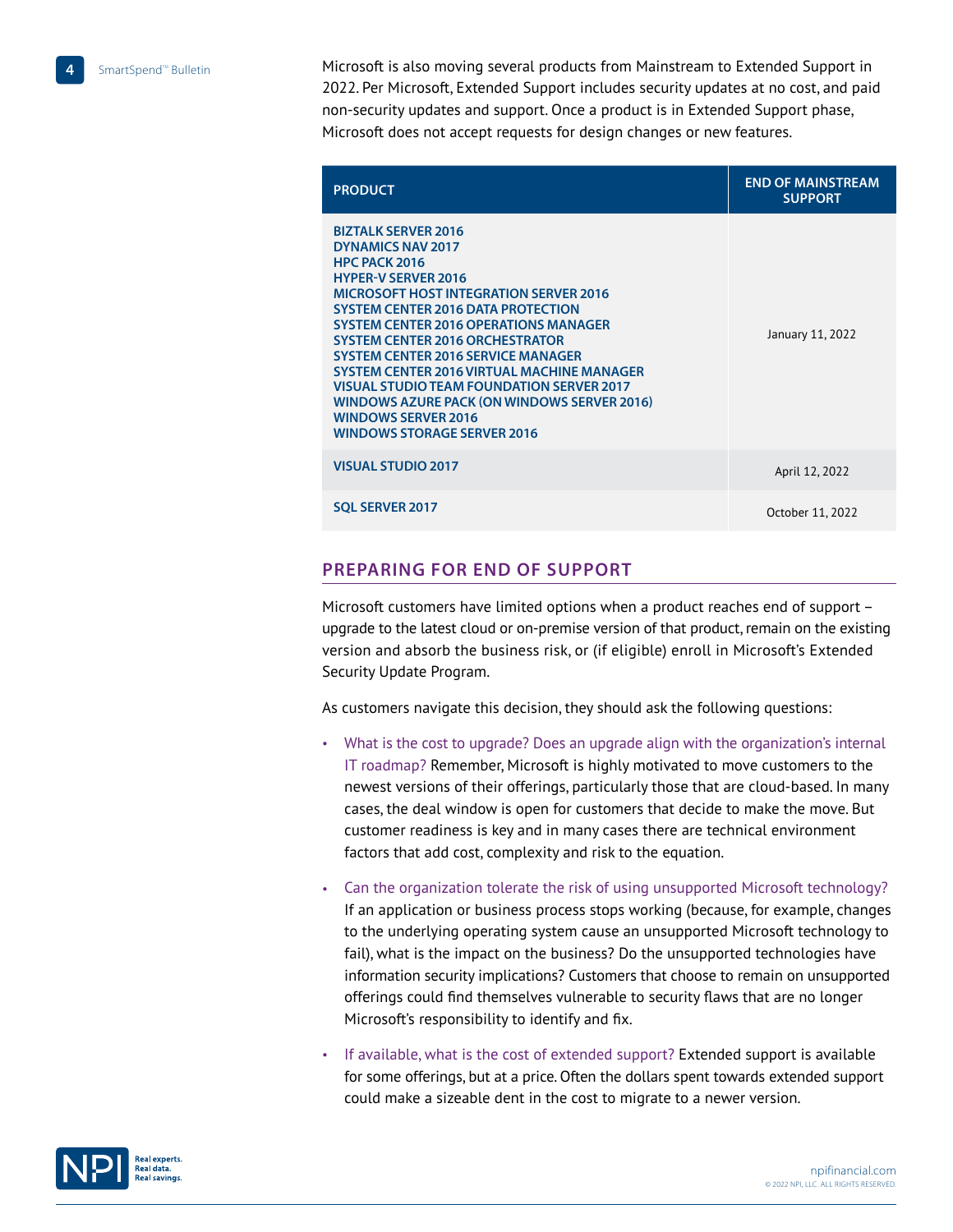Microsoft is also moving several products from Mainstream to Extended Support in 2022. Per Microsoft, Extended Support includes security updates at no cost, and paid non-security updates and support. Once a product is in Extended Support phase, Microsoft does not accept requests for design changes or new features.

| <b>PRODUCT</b>                                                                                                                                                                                                                                                                                                                                                                                                                                                                                                                                                         | <b>END OF MAINSTREAM</b><br><b>SUPPORT</b> |
|------------------------------------------------------------------------------------------------------------------------------------------------------------------------------------------------------------------------------------------------------------------------------------------------------------------------------------------------------------------------------------------------------------------------------------------------------------------------------------------------------------------------------------------------------------------------|--------------------------------------------|
| <b>BIZTALK SERVER 2016</b><br><b>DYNAMICS NAV 2017</b><br>HPC PACK 2016<br><b>HYPER-V SERVER 2016</b><br><b>MICROSOFT HOST INTEGRATION SERVER 2016</b><br><b>SYSTEM CENTER 2016 DATA PROTECTION</b><br><b>SYSTEM CENTER 2016 OPERATIONS MANAGER</b><br><b>SYSTEM CENTER 2016 ORCHESTRATOR</b><br><b>SYSTEM CENTER 2016 SERVICE MANAGER</b><br><b>SYSTEM CENTER 2016 VIRTUAL MACHINE MANAGER</b><br><b>VISUAL STUDIO TEAM FOUNDATION SERVER 2017</b><br>WINDOWS AZURE PACK (ON WINDOWS SERVER 2016)<br><b>WINDOWS SERVER 2016</b><br><b>WINDOWS STORAGE SERVER 2016</b> | January 11, 2022                           |
| <b>VISUAL STUDIO 2017</b>                                                                                                                                                                                                                                                                                                                                                                                                                                                                                                                                              | April 12, 2022                             |
| <b>SOL SERVER 2017</b>                                                                                                                                                                                                                                                                                                                                                                                                                                                                                                                                                 | October 11, 2022                           |

## **Preparing for End of Support**

Microsoft customers have limited options when a product reaches end of support – upgrade to the latest cloud or on-premise version of that product, remain on the existing version and absorb the business risk, or (if eligible) enroll in Microsoft's Extended Security Update Program.

As customers navigate this decision, they should ask the following questions:

- What is the cost to upgrade? Does an upgrade align with the organization's internal IT roadmap? Remember, Microsoft is highly motivated to move customers to the newest versions of their offerings, particularly those that are cloud-based. In many cases, the deal window is open for customers that decide to make the move. But customer readiness is key and in many cases there are technical environment factors that add cost, complexity and risk to the equation.
- Can the organization tolerate the risk of using unsupported Microsoft technology? If an application or business process stops working (because, for example, changes to the underlying operating system cause an unsupported Microsoft technology to fail), what is the impact on the business? Do the unsupported technologies have information security implications? Customers that choose to remain on unsupported offerings could find themselves vulnerable to security flaws that are no longer Microsoft's responsibility to identify and fix.
- If available, what is the cost of extended support? Extended support is available for some offerings, but at a price. Often the dollars spent towards extended support could make a sizeable dent in the cost to migrate to a newer version.